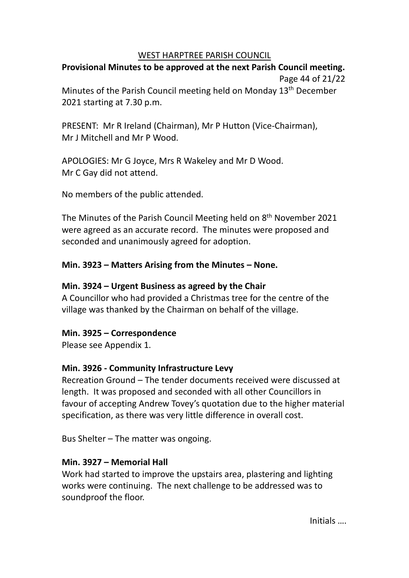#### WEST HARPTREE PARISH COUNCIL

# **Provisional Minutes to be approved at the next Parish Council meeting.** Page 44 of 21/22

Minutes of the Parish Council meeting held on Monday 13<sup>th</sup> December 2021 starting at 7.30 p.m.

PRESENT: Mr R Ireland (Chairman), Mr P Hutton (Vice-Chairman), Mr J Mitchell and Mr P Wood.

APOLOGIES: Mr G Joyce, Mrs R Wakeley and Mr D Wood. Mr C Gay did not attend.

No members of the public attended.

The Minutes of the Parish Council Meeting held on 8<sup>th</sup> November 2021 were agreed as an accurate record. The minutes were proposed and seconded and unanimously agreed for adoption.

# **Min. 3923 – Matters Arising from the Minutes – None.**

# **Min. 3924 – Urgent Business as agreed by the Chair**

A Councillor who had provided a Christmas tree for the centre of the village was thanked by the Chairman on behalf of the village.

### **Min. 3925 – Correspondence**

Please see Appendix 1.

# **Min. 3926 - Community Infrastructure Levy**

Recreation Ground – The tender documents received were discussed at length. It was proposed and seconded with all other Councillors in favour of accepting Andrew Tovey's quotation due to the higher material specification, as there was very little difference in overall cost.

Bus Shelter – The matter was ongoing.

# **Min. 3927 – Memorial Hall**

Work had started to improve the upstairs area, plastering and lighting works were continuing. The next challenge to be addressed was to soundproof the floor.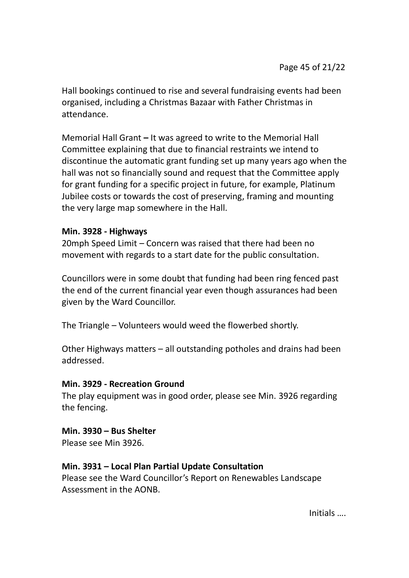Hall bookings continued to rise and several fundraising events had been organised, including a Christmas Bazaar with Father Christmas in attendance.

Memorial Hall Grant **–** It was agreed to write to the Memorial Hall Committee explaining that due to financial restraints we intend to discontinue the automatic grant funding set up many years ago when the hall was not so financially sound and request that the Committee apply for grant funding for a specific project in future, for example, Platinum Jubilee costs or towards the cost of preserving, framing and mounting the very large map somewhere in the Hall.

### **Min. 3928 - Highways**

20mph Speed Limit – Concern was raised that there had been no movement with regards to a start date for the public consultation.

Councillors were in some doubt that funding had been ring fenced past the end of the current financial year even though assurances had been given by the Ward Councillor.

The Triangle – Volunteers would weed the flowerbed shortly.

Other Highways matters – all outstanding potholes and drains had been addressed.

### **Min. 3929 - Recreation Ground**

The play equipment was in good order, please see Min. 3926 regarding the fencing.

### **Min. 3930 – Bus Shelter**

Please see Min 3926.

### **Min. 3931 – Local Plan Partial Update Consultation**

Please see the Ward Councillor's Report on Renewables Landscape Assessment in the AONB.

Initials ….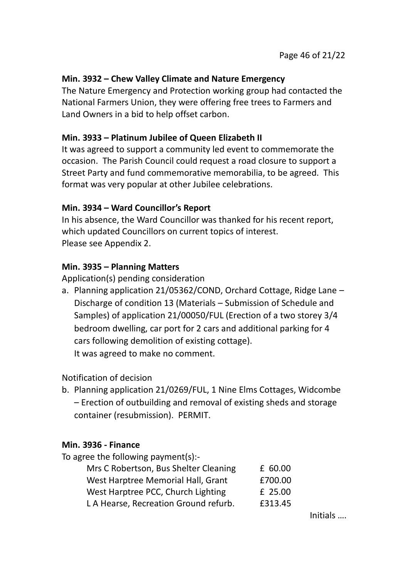# **Min. 3932 – Chew Valley Climate and Nature Emergency**

The Nature Emergency and Protection working group had contacted the National Farmers Union, they were offering free trees to Farmers and Land Owners in a bid to help offset carbon.

# **Min. 3933 – Platinum Jubilee of Queen Elizabeth II**

It was agreed to support a community led event to commemorate the occasion. The Parish Council could request a road closure to support a Street Party and fund commemorative memorabilia, to be agreed. This format was very popular at other Jubilee celebrations.

# **Min. 3934 – Ward Councillor's Report**

In his absence, the Ward Councillor was thanked for his recent report, which updated Councillors on current topics of interest. Please see Appendix 2.

# **Min. 3935 – Planning Matters**

Application(s) pending consideration

a. Planning application 21/05362/COND, Orchard Cottage, Ridge Lane – Discharge of condition 13 (Materials – Submission of Schedule and Samples) of application 21/00050/FUL (Erection of a two storey 3/4 bedroom dwelling, car port for 2 cars and additional parking for 4 cars following demolition of existing cottage). It was agreed to make no comment.

### Notification of decision

b. Planning application 21/0269/FUL, 1 Nine Elms Cottages, Widcombe – Erection of outbuilding and removal of existing sheds and storage container (resubmission). PERMIT.

### **Min. 3936 - Finance**

| To agree the following payment(s):-   |         |
|---------------------------------------|---------|
| Mrs C Robertson, Bus Shelter Cleaning | £ 60.00 |
| West Harptree Memorial Hall, Grant    | £700.00 |
| West Harptree PCC, Church Lighting    | £ 25.00 |
| L A Hearse, Recreation Ground refurb. | £313.45 |
|                                       |         |

Initials ….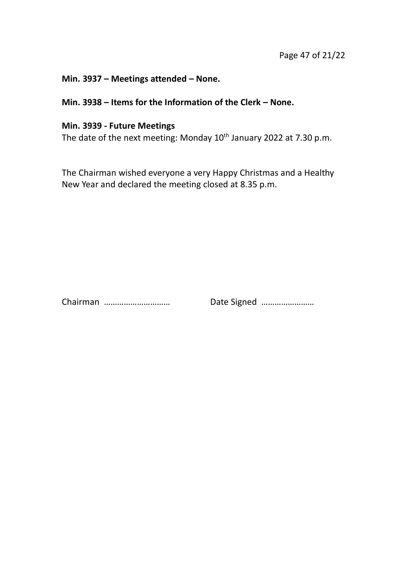#### **Min. 3937 – Meetings attended – None.**

# **Min. 3938 – Items for the Information of the Clerk – None.**

### **Min. 3939 - Future Meetings**

The date of the next meeting: Monday  $10^{th}$  January 2022 at 7.30 p.m.

The Chairman wished everyone a very Happy Christmas and a Healthy New Year and declared the meeting closed at 8.35 p.m.

Chairman ………………………… Date Signed ……………………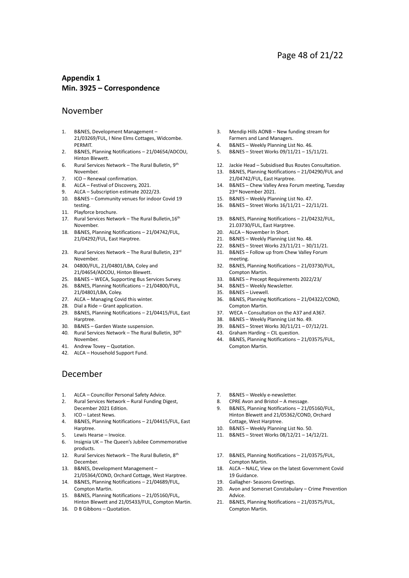#### **Appendix 1 Min. 3925 – Correspondence**

#### November

- 1. B&NES, Development Management 21/03269/FUL, I Nine Elms Cottages, Widcombe. PERMIT.
- 2. B&NES, Planning Notifications 21/04654/ADCOU, Hinton Blewett.
- 6. Rural Services Network The Rural Bulletin, 9th November.
- 7. ICO Renewal confirmation.<br>8. ALCA Festival of Discovery.
- 8. ALCA Festival of Discovery, 2021.
- 9. ALCA Subscription estimate 2022/23.
- 10. B&NES Community venues for indoor Covid 19 testing.
- 11. Playforce brochure.
- 17. Rural Services Network The Rural Bulletin, 16th November.
- 18. B&NES, Planning Notifications 21/04742/FUL, 21/04292/FUL, East Harptree.
- 23. Rural Services Network The Rural Bulletin, 23rd November.
- 24. 04800/FUL, 21/04801/LBA, Coley and 21/04654/ADCOU, Hinton Blewett.
- 25. B&NES WECA, Supporting Bus Services Survey.
- 26. B&NES, Planning Notifications 21/04800/FUL,
- 21/04801/LBA, Coley.
- 27. ALCA Managing Covid this winter.
- 28. Dial a Ride Grant application.
- 29. B&NES, Planning Notifications 21/04415/FUL, East Harptree.
- 30. B&NES Garden Waste suspension.
- 40. Rural Services Network The Rural Bulletin, 30th November.
- 41. Andrew Tovey Quotation.
- 42. ALCA Household Support Fund.

#### December

- 1. ALCA Councillor Personal Safety Advice.
- 2. Rural Services Network Rural Funding Digest, December 2021 Edition.
- 3. ICO Latest News.
- 4. B&NES, Planning Notifications 21/04415/FUL, East Harptree.
- 5. Lewis Hearse Invoice.
- 6. Insignia UK The Queen's Jubilee Commemorative products.
- 12. Rural Services Network The Rural Bulletin, 8th December.
- 13. B&NES, Development Management 21/05364/COND, Orchard Cottage, West Harptree.
- 14. B&NES, Planning Notifications 21/04689/FUL, Compton Martin.
- 15. B&NES, Planning Notifications 21/05160/FUL, Hinton Blewett and 21/05433/FUL, Compton Martin.
- 16. D B Gibbons Quotation.
- 3. Mendip Hills AONB New funding stream for Farmers and Land Managers.
- 4. B&NES Weekly Planning List No. 46.
- 5. B&NES Street Works 09/11/21 15/11/21.
- 12. Jackie Head Subsidised Bus Routes Consultation.
- 13. B&NES, Planning Notifications 21/04290/FUL and 21/04742/FUL, East Harptree.
- 14. B&NES Chew Valley Area Forum meeting, Tuesday 23rd November 2021.
- 15. B&NES Weekly Planning List No. 47.
- 16. B&NES Street Works 16/11/21 22/11/21.
- 19. B&NES, Planning Notifications 21/04232/FUL, 21.03730/FUL, East Harptree.
- 20. ALCA November In Short.
- 21. B&NES Weekly Planning List No. 48.
- 22. B&NES Street Works 23/11/21 30/11/21.
- 31. B&NES Follow up from Chew Valley Forum meeting.
- 32. B&NES, Planning Notifications 21/03730/FUL, Compton Martin.
- 33. B&NES Precept Requirements 2022/23/
- 34. B&NES Weekly Newsletter.
- 35. B&NES Livewell.
- 36. B&NES, Planning Notifications 21/04322/COND, Compton Martin.
- 37. WECA Consultation on the A37 and A367.
- 38. B&NES Weekly Planning List No. 49.
- 39. B&NES Street Works 30/11/21 07/12/21.
- 43. Graham Harding CIL question.
- 44. B&NES, Planning Notifications 21/03575/FUL, Compton Martin.
- 7. B&NES Weekly e-newsletter.
- 8. CPRE Avon and Bristol A message.
- 9. B&NES, Planning Notifications 21/05160/FUL, Hinton Blewett and 21/05362/COND, Orchard Cottage, West Harptree.
- 10. B&NES Weekly Planning List No. 50.
- 11. B&NES Street Works 08/12/21 14/12/21.
- 17. B&NES, Planning Notifications 21/03575/FUL, Compton Martin.
- 18. ALCA NALC, View on the latest Government Covid 19 Guidance.
- 19. Gallagher- Seasons Greetings.
- 20. Avon and Somerset Constabulary Crime Prevention Advice.
- 21. B&NES, Planning Notifications 21/03575/FUL, Compton Martin.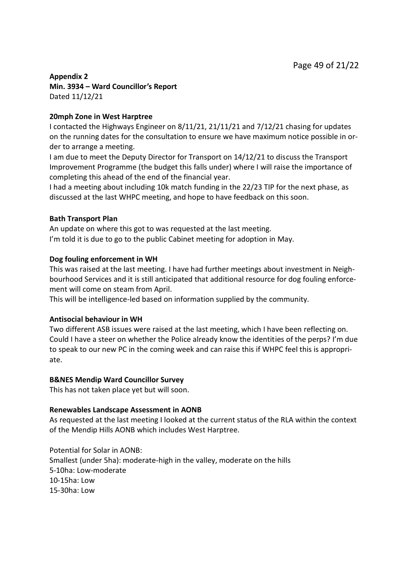#### **Appendix 2 Min. 3934 – Ward Councillor's Report** Dated 11/12/21

#### **20mph Zone in West Harptree**

I contacted the Highways Engineer on 8/11/21, 21/11/21 and 7/12/21 chasing for updates on the running dates for the consultation to ensure we have maximum notice possible in order to arrange a meeting.

I am due to meet the Deputy Director for Transport on 14/12/21 to discuss the Transport Improvement Programme (the budget this falls under) where I will raise the importance of completing this ahead of the end of the financial year.

I had a meeting about including 10k match funding in the 22/23 TIP for the next phase, as discussed at the last WHPC meeting, and hope to have feedback on this soon.

#### **Bath Transport Plan**

An update on where this got to was requested at the last meeting. I'm told it is due to go to the public Cabinet meeting for adoption in May.

#### **Dog fouling enforcement in WH**

This was raised at the last meeting. I have had further meetings about investment in Neighbourhood Services and it is still anticipated that additional resource for dog fouling enforcement will come on steam from April.

This will be intelligence-led based on information supplied by the community.

#### **Antisocial behaviour in WH**

Two different ASB issues were raised at the last meeting, which I have been reflecting on. Could I have a steer on whether the Police already know the identities of the perps? I'm due to speak to our new PC in the coming week and can raise this if WHPC feel this is appropriate.

#### **B&NES Mendip Ward Councillor Survey**

This has not taken place yet but will soon.

#### **Renewables Landscape Assessment in AONB**

As requested at the last meeting I looked at the current status of the RLA within the context of the Mendip Hills AONB which includes West Harptree.

Potential for Solar in AONB: Smallest (under 5ha): moderate-high in the valley, moderate on the hills 5-10ha: Low-moderate 10-15ha: Low 15-30ha: Low